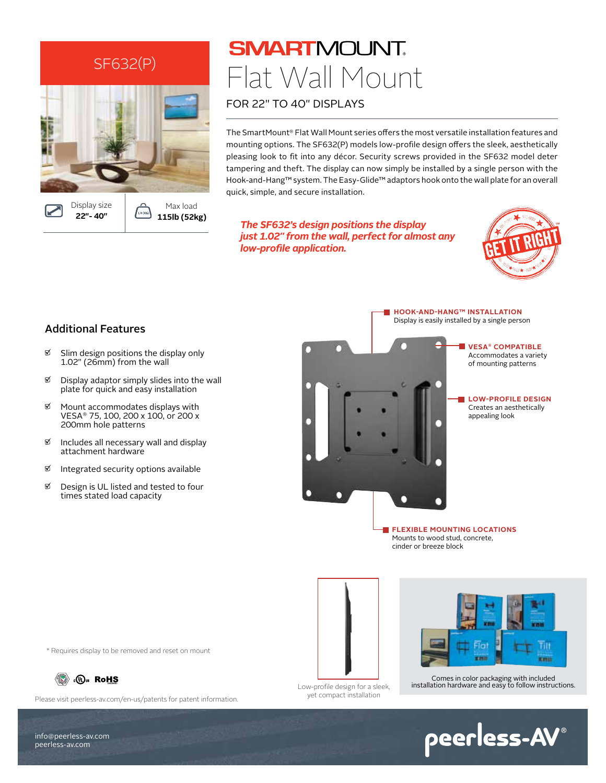

LB (KG

**115lb (52kg)**

**SMARTMOUNT.** Flat Wall Mount FOR 22" TO 40" DISPLAYS

The SmartMount® Flat Wall Mount series offers the most versatile installation features and mounting options. The SF632(P) models low-profile design offers the sleek, aesthetically pleasing look to fit into any décor. Security screws provided in the SF632 model deter tampering and theft. The display can now simply be installed by a single person with the Hook-and-Hang™ system. The Easy-Glide™ adaptors hook onto the wall plate for an overall quick, simple, and secure installation.

*The SF632's design positions the display just 1.02" from the wall, perfect for almost any low-profile application.* 



#### Additional Features

**22"- 40"** 

- $\%$  Slim design positions the display only 1.02" (26mm) from the wall
- $\mathfrak{A}$  Display adaptor simply slides into the wall plate for quick and easy installation
- $\mathfrak{A}$  Mount accommodates displays with VESA® 75, 100, 200 x 100, or 200 x 200mm hole patterns
- $\mathfrak{A}$  Includes all necessary wall and display attachment hardware
- $\mathfrak{A}$  Integrated security options available
- **Ø** Design is UL listed and tested to four times stated load capacity

Display is easily installed by a single person

**HOOK-AND-HANG™ INSTALLATION**



**VESA® COMPATIBLE** Accommodates a variety of mounting patterns

**LOW-PROFILE DESIGN** Creates an aesthetically appealing look

**FLEXIBLE MOUNTING LOCATIONS** Mounts to wood stud, concrete, cinder or breeze block

Low-profile design for a sleek,

yet compact installation



Comes in color packaging with included installation hardware and easy to follow instructions.

\* Requires display to be removed and reset on mount



Please visit peerless-av.com/en-us/patents for patent information.

info@peerless-av.com peerless-av.com

peerless-AV®